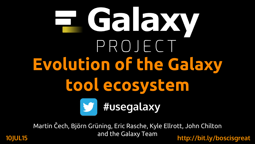## HIGARY PROJECT **Evolution of the Galaxy tool ecosystem #usegalaxy**

Martin Čech, Björn Grüning, Eric Rasche, Kyle Ellrott, John Chilton and the Galaxy Team **10JUL15 http://bit.ly/boscisgreat**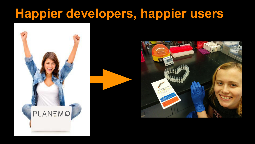#### **Happier developers, happier users**



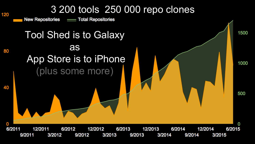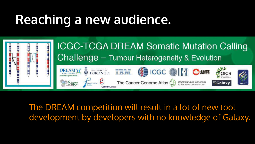## **Reaching a new audience.**



The DREAM competition will result in a lot of new tool development by developers with no knowledge of Galaxy.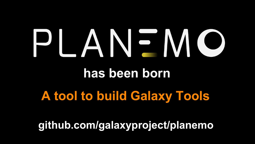# PLANEMO **has been born**

### **A tool to build Galaxy Tools**

**github.com/galaxyproject/planemo**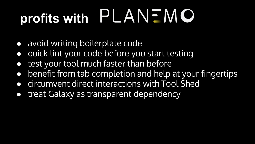## **profits with PLANEMO**

- avoid writing boilerplate code
- quick lint your code before you start testing
- test your tool much faster than before
- benefit from tab completion and help at your fingertips
- circumvent direct interactions with Tool Shed
- treat Galaxy as transparent dependency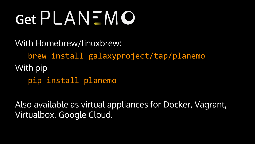## **Get PLANEMO**

With Homebrew/linuxbrew: brew install galaxyproject/tap/planemo With pip pip install planemo

Also available as virtual appliances for Docker, Vagrant, Virtualbox, Google Cloud.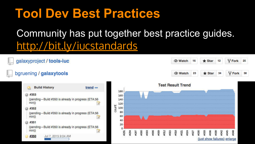#### **Tool Dev Best Practices**

#### Community has put together best practice guides. [http://bit.ly/iucstandards](http://galaxy-iuc-standards.readthedocs.org/en/latest/)

Y Fork

 $\mathsf{\mathsf{V}}$  Fork

eng

25

38

**★** Star

 $\bigstar$  Star

23

ø éS. ø  $12 \,$ 

34

8

(just show failures) enlarge